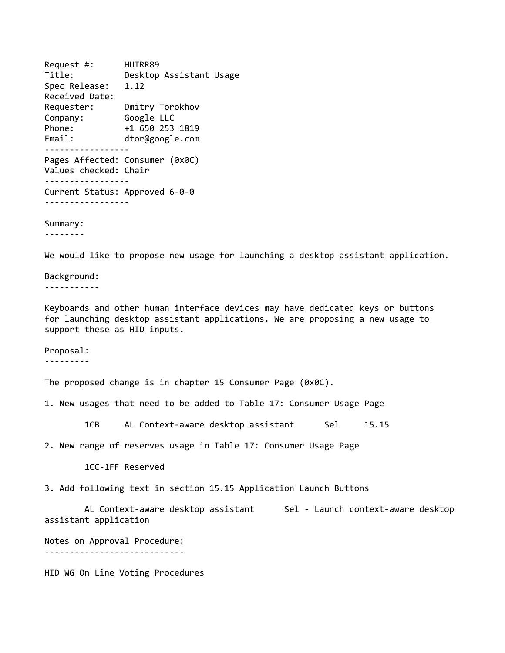Request #: HUTRR89 Title: Desktop Assistant Usage Spec Release: 1.12 Received Date: Requester: Dmitry Torokhov Company: Google LLC Phone: +1 650 253 1819 Email: dtor@google.com ‐‐‐‐‐‐‐‐‐‐‐‐‐‐‐‐‐ Pages Affected: Consumer (0x0C) Values checked: Chair ‐‐‐‐‐‐‐‐‐‐‐‐‐‐‐‐‐ Current Status: Approved 6‐0‐0 ‐‐‐‐‐‐‐‐‐‐‐‐‐‐‐‐‐

Summary:

‐‐‐‐‐‐‐‐

We would like to propose new usage for launching a desktop assistant application.

Background: ‐‐‐‐‐‐‐‐‐‐‐

Keyboards and other human interface devices may have dedicated keys or buttons for launching desktop assistant applications. We are proposing a new usage to support these as HID inputs.

Proposal: ‐‐‐‐‐‐‐‐‐

The proposed change is in chapter 15 Consumer Page (0x0C).

1. New usages that need to be added to Table 17: Consumer Usage Page

1CB AL Context-aware desktop assistant Sel 15.15

2. New range of reserves usage in Table 17: Consumer Usage Page

1CC‐1FF Reserved

3. Add following text in section 15.15 Application Launch Buttons

AL Context-aware desktop assistant Sel - Launch context-aware desktop assistant application

Notes on Approval Procedure: ‐‐‐‐‐‐‐‐‐‐‐‐‐‐‐‐‐‐‐‐‐‐‐‐‐‐‐‐

HID WG On Line Voting Procedures